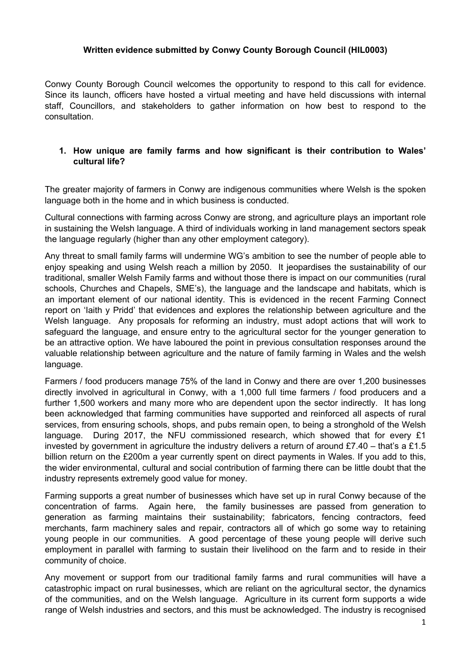### **Written evidence submitted by Conwy County Borough Council (HIL0003)**

Conwy County Borough Council welcomes the opportunity to respond to this call for evidence. Since its launch, officers have hosted a virtual meeting and have held discussions with internal staff, Councillors, and stakeholders to gather information on how best to respond to the consultation.

# **1. How unique are family farms and how significant is their contribution to Wales' cultural life?**

The greater majority of farmers in Conwy are indigenous communities where Welsh is the spoken language both in the home and in which business is conducted.

Cultural connections with farming across Conwy are strong, and agriculture plays an important role in sustaining the Welsh language. A third of individuals working in land management sectors speak the language regularly (higher than any other employment category).

Any threat to small family farms will undermine WG's ambition to see the number of people able to enjoy speaking and using Welsh reach a million by 2050. It jeopardises the sustainability of our traditional, smaller Welsh Family farms and without those there is impact on our communities (rural schools, Churches and Chapels, SME's), the language and the landscape and habitats, which is an important element of our national identity. This is evidenced in the recent Farming Connect report on 'Iaith y Pridd' that evidences and explores the relationship between agriculture and the Welsh language. Any proposals for reforming an industry, must adopt actions that will work to safeguard the language, and ensure entry to the agricultural sector for the younger generation to be an attractive option. We have laboured the point in previous consultation responses around the valuable relationship between agriculture and the nature of family farming in Wales and the welsh language.

Farmers / food producers manage 75% of the land in Conwy and there are over 1,200 businesses directly involved in agricultural in Conwy, with a 1,000 full time farmers / food producers and a further 1,500 workers and many more who are dependent upon the sector indirectly. It has long been acknowledged that farming communities have supported and reinforced all aspects of rural services, from ensuring schools, shops, and pubs remain open, to being a stronghold of the Welsh language. During 2017, the NFU commissioned research, which showed that for every  $£1$ invested by government in agriculture the industry delivers a return of around £7.40 – that's a £1.5 billion return on the £200m a year currently spent on direct payments in Wales. If you add to this, the wider environmental, cultural and social contribution of farming there can be little doubt that the industry represents extremely good value for money.

Farming supports a great number of businesses which have set up in rural Conwy because of the concentration of farms. Again here, the family businesses are passed from generation to generation as farming maintains their sustainability; fabricators, fencing contractors, feed merchants, farm machinery sales and repair, contractors all of which go some way to retaining young people in our communities. A good percentage of these young people will derive such employment in parallel with farming to sustain their livelihood on the farm and to reside in their community of choice.

Any movement or support from our traditional family farms and rural communities will have a catastrophic impact on rural businesses, which are reliant on the agricultural sector, the dynamics of the communities, and on the Welsh language. Agriculture in its current form supports a wide range of Welsh industries and sectors, and this must be acknowledged. The industry is recognised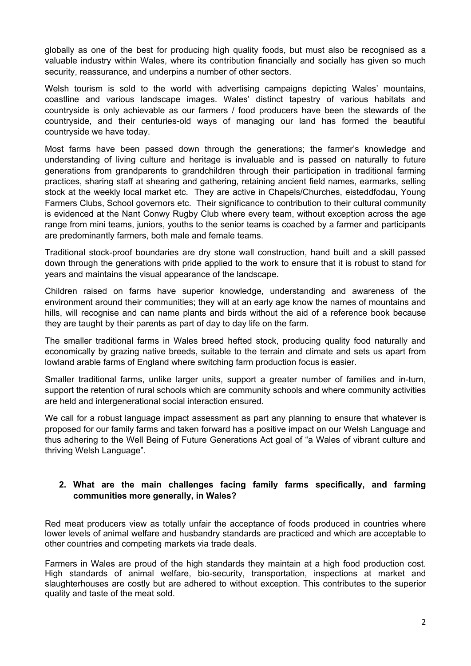globally as one of the best for producing high quality foods, but must also be recognised as a valuable industry within Wales, where its contribution financially and socially has given so much security, reassurance, and underpins a number of other sectors.

Welsh tourism is sold to the world with advertising campaigns depicting Wales' mountains, coastline and various landscape images. Wales' distinct tapestry of various habitats and countryside is only achievable as our farmers / food producers have been the stewards of the countryside, and their centuries-old ways of managing our land has formed the beautiful countryside we have today.

Most farms have been passed down through the generations; the farmer's knowledge and understanding of living culture and heritage is invaluable and is passed on naturally to future generations from grandparents to grandchildren through their participation in traditional farming practices, sharing staff at shearing and gathering, retaining ancient field names, earmarks, selling stock at the weekly local market etc. They are active in Chapels/Churches, eisteddfodau, Young Farmers Clubs, School governors etc. Their significance to contribution to their cultural community is evidenced at the Nant Conwy Rugby Club where every team, without exception across the age range from mini teams, juniors, youths to the senior teams is coached by a farmer and participants are predominantly farmers, both male and female teams.

Traditional stock-proof boundaries are dry stone wall construction, hand built and a skill passed down through the generations with pride applied to the work to ensure that it is robust to stand for years and maintains the visual appearance of the landscape.

Children raised on farms have superior knowledge, understanding and awareness of the environment around their communities; they will at an early age know the names of mountains and hills, will recognise and can name plants and birds without the aid of a reference book because they are taught by their parents as part of day to day life on the farm.

The smaller traditional farms in Wales breed hefted stock, producing quality food naturally and economically by grazing native breeds, suitable to the terrain and climate and sets us apart from lowland arable farms of England where switching farm production focus is easier.

Smaller traditional farms, unlike larger units, support a greater number of families and in-turn, support the retention of rural schools which are community schools and where community activities are held and intergenerational social interaction ensured.

We call for a robust language impact assessment as part any planning to ensure that whatever is proposed for our family farms and taken forward has a positive impact on our Welsh Language and thus adhering to the Well Being of Future Generations Act goal of "a Wales of vibrant culture and thriving Welsh Language".

# **2. What are the main challenges facing family farms specifically, and farming communities more generally, in Wales?**

Red meat producers view as totally unfair the acceptance of foods produced in countries where lower levels of animal welfare and husbandry standards are practiced and which are acceptable to other countries and competing markets via trade deals.

Farmers in Wales are proud of the high standards they maintain at a high food production cost. High standards of animal welfare, bio-security, transportation, inspections at market and slaughterhouses are costly but are adhered to without exception. This contributes to the superior quality and taste of the meat sold.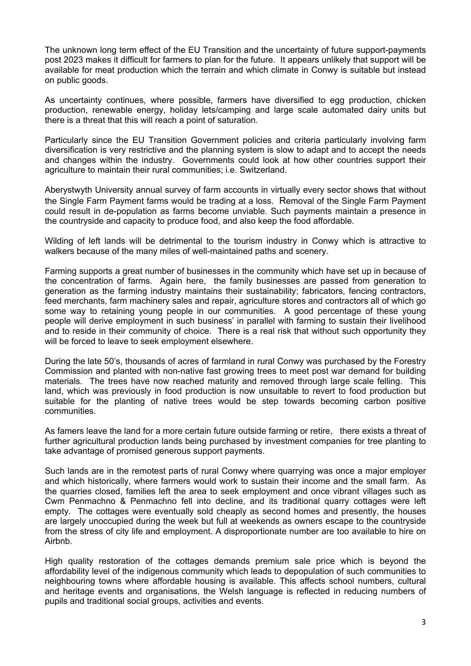The unknown long term effect of the EU Transition and the uncertainty of future support-payments post 2023 makes it difficult for farmers to plan for the future. It appears unlikely that support will be available for meat production which the terrain and which climate in Conwy is suitable but instead on public goods.

As uncertainty continues, where possible, farmers have diversified to egg production, chicken production, renewable energy, holiday lets/camping and large scale automated dairy units but there is a threat that this will reach a point of saturation.

Particularly since the EU Transition Government policies and criteria particularly involving farm diversification is very restrictive and the planning system is slow to adapt and to accept the needs and changes within the industry. Governments could look at how other countries support their agriculture to maintain their rural communities; i.e. Switzerland.

Aberystwyth University annual survey of farm accounts in virtually every sector shows that without the Single Farm Payment farms would be trading at a loss. Removal of the Single Farm Payment could result in de-population as farms become unviable. Such payments maintain a presence in the countryside and capacity to produce food, and also keep the food affordable.

Wilding of left lands will be detrimental to the tourism industry in Conwy which is attractive to walkers because of the many miles of well-maintained paths and scenery.

Farming supports a great number of businesses in the community which have set up in because of the concentration of farms. Again here, the family businesses are passed from generation to generation as the farming industry maintains their sustainability; fabricators, fencing contractors, feed merchants, farm machinery sales and repair, agriculture stores and contractors all of which go some way to retaining young people in our communities. A good percentage of these young people will derive employment in such business' in parallel with farming to sustain their livelihood and to reside in their community of choice. There is a real risk that without such opportunity they will be forced to leave to seek employment elsewhere.

During the late 50's, thousands of acres of farmland in rural Conwy was purchased by the Forestry Commission and planted with non-native fast growing trees to meet post war demand for building materials. The trees have now reached maturity and removed through large scale felling. This land, which was previously in food production is now unsuitable to revert to food production but suitable for the planting of native trees would be step towards becoming carbon positive communities.

As famers leave the land for a more certain future outside farming or retire, there exists a threat of further agricultural production lands being purchased by investment companies for tree planting to take advantage of promised generous support payments.

Such lands are in the remotest parts of rural Conwy where quarrying was once a major employer and which historically, where farmers would work to sustain their income and the small farm. As the quarries closed, families left the area to seek employment and once vibrant villages such as Cwm Penmachno & Penmachno fell into decline, and its traditional quarry cottages were left empty. The cottages were eventually sold cheaply as second homes and presently, the houses are largely unoccupied during the week but full at weekends as owners escape to the countryside from the stress of city life and employment. A disproportionate number are too available to hire on Airbnb.

High quality restoration of the cottages demands premium sale price which is beyond the affordability level of the indigenous community which leads to depopulation of such communities to neighbouring towns where affordable housing is available. This affects school numbers, cultural and heritage events and organisations, the Welsh language is reflected in reducing numbers of pupils and traditional social groups, activities and events.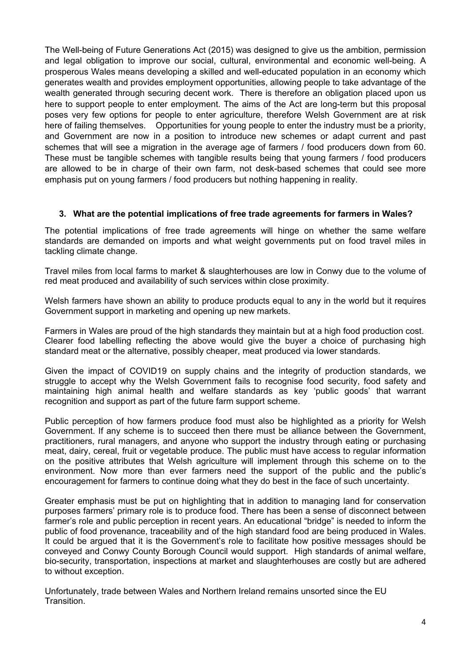The Well-being of Future Generations Act (2015) was designed to give us the ambition, permission and legal obligation to improve our social, cultural, environmental and economic well-being. A prosperous Wales means developing a skilled and well-educated population in an economy which generates wealth and provides employment opportunities, allowing people to take advantage of the wealth generated through securing decent work. There is therefore an obligation placed upon us here to support people to enter employment. The aims of the Act are long-term but this proposal poses very few options for people to enter agriculture, therefore Welsh Government are at risk here of failing themselves. Opportunities for young people to enter the industry must be a priority, and Government are now in a position to introduce new schemes or adapt current and past schemes that will see a migration in the average age of farmers / food producers down from 60. These must be tangible schemes with tangible results being that young farmers / food producers are allowed to be in charge of their own farm, not desk-based schemes that could see more emphasis put on young farmers / food producers but nothing happening in reality.

# **3. What are the potential implications of free trade agreements for farmers in Wales?**

The potential implications of free trade agreements will hinge on whether the same welfare standards are demanded on imports and what weight governments put on food travel miles in tackling climate change.

Travel miles from local farms to market & slaughterhouses are low in Conwy due to the volume of red meat produced and availability of such services within close proximity.

Welsh farmers have shown an ability to produce products equal to any in the world but it requires Government support in marketing and opening up new markets.

Farmers in Wales are proud of the high standards they maintain but at a high food production cost. Clearer food labelling reflecting the above would give the buyer a choice of purchasing high standard meat or the alternative, possibly cheaper, meat produced via lower standards.

Given the impact of COVID19 on supply chains and the integrity of production standards, we struggle to accept why the Welsh Government fails to recognise food security, food safety and maintaining high animal health and welfare standards as key 'public goods' that warrant recognition and support as part of the future farm support scheme.

Public perception of how farmers produce food must also be highlighted as a priority for Welsh Government. If any scheme is to succeed then there must be alliance between the Government, practitioners, rural managers, and anyone who support the industry through eating or purchasing meat, dairy, cereal, fruit or vegetable produce. The public must have access to regular information on the positive attributes that Welsh agriculture will implement through this scheme on to the environment. Now more than ever farmers need the support of the public and the public's encouragement for farmers to continue doing what they do best in the face of such uncertainty.

Greater emphasis must be put on highlighting that in addition to managing land for conservation purposes farmers' primary role is to produce food. There has been a sense of disconnect between farmer's role and public perception in recent years. An educational "bridge" is needed to inform the public of food provenance, traceability and of the high standard food are being produced in Wales. It could be argued that it is the Government's role to facilitate how positive messages should be conveyed and Conwy County Borough Council would support. High standards of animal welfare, bio-security, transportation, inspections at market and slaughterhouses are costly but are adhered to without exception.

Unfortunately, trade between Wales and Northern Ireland remains unsorted since the EU Transition.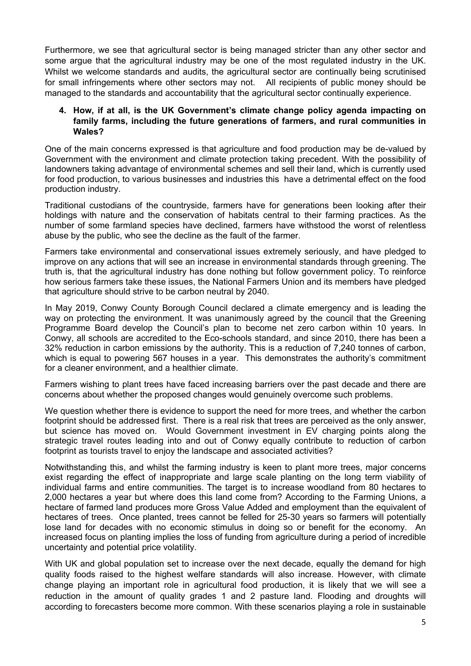Furthermore, we see that agricultural sector is being managed stricter than any other sector and some argue that the agricultural industry may be one of the most regulated industry in the UK. Whilst we welcome standards and audits, the agricultural sector are continually being scrutinised for small infringements where other sectors may not. All recipients of public money should be managed to the standards and accountability that the agricultural sector continually experience.

# **4. How, if at all, is the UK Government's climate change policy agenda impacting on family farms, including the future generations of farmers, and rural communities in Wales?**

One of the main concerns expressed is that agriculture and food production may be de-valued by Government with the environment and climate protection taking precedent. With the possibility of landowners taking advantage of environmental schemes and sell their land, which is currently used for food production, to various businesses and industries this have a detrimental effect on the food production industry.

Traditional custodians of the countryside, farmers have for generations been looking after their holdings with nature and the conservation of habitats central to their farming practices. As the number of some farmland species have declined, farmers have withstood the worst of relentless abuse by the public, who see the decline as the fault of the farmer.

Farmers take environmental and conservational issues extremely seriously, and have pledged to improve on any actions that will see an increase in environmental standards through greening. The truth is, that the agricultural industry has done nothing but follow government policy. To reinforce how serious farmers take these issues, the National Farmers Union and its members have pledged that agriculture should strive to be carbon neutral by 2040.

In May 2019, Conwy County Borough Council declared a climate emergency and is leading the way on protecting the environment. It was unanimously agreed by the council that the Greening Programme Board develop the Council's plan to become net zero carbon within 10 years. In Conwy, all schools are accredited to the Eco-schools standard, and since 2010, there has been a 32% reduction in carbon emissions by the authority. This is a reduction of 7,240 tonnes of carbon, which is equal to powering 567 houses in a year. This demonstrates the authority's commitment for a cleaner environment, and a healthier climate.

Farmers wishing to plant trees have faced increasing barriers over the past decade and there are concerns about whether the proposed changes would genuinely overcome such problems.

We question whether there is evidence to support the need for more trees, and whether the carbon footprint should be addressed first. There is a real risk that trees are perceived as the only answer, but science has moved on. Would Government investment in EV charging points along the strategic travel routes leading into and out of Conwy equally contribute to reduction of carbon footprint as tourists travel to enjoy the landscape and associated activities?

Notwithstanding this, and whilst the farming industry is keen to plant more trees, major concerns exist regarding the effect of inappropriate and large scale planting on the long term viability of individual farms and entire communities. The target is to increase woodland from 80 hectares to 2,000 hectares a year but where does this land come from? According to the Farming Unions, a hectare of farmed land produces more Gross Value Added and employment than the equivalent of hectares of trees. Once planted, trees cannot be felled for 25-30 years so farmers will potentially lose land for decades with no economic stimulus in doing so or benefit for the economy. An increased focus on planting implies the loss of funding from agriculture during a period of incredible uncertainty and potential price volatility.

With UK and global population set to increase over the next decade, equally the demand for high quality foods raised to the highest welfare standards will also increase. However, with climate change playing an important role in agricultural food production, it is likely that we will see a reduction in the amount of quality grades 1 and 2 pasture land. Flooding and droughts will according to forecasters become more common. With these scenarios playing a role in sustainable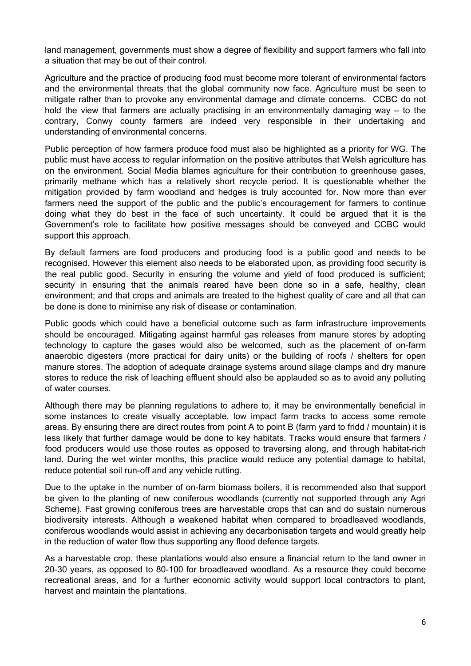land management, governments must show a degree of flexibility and support farmers who fall into a situation that may be out of their control.

Agriculture and the practice of producing food must become more tolerant of environmental factors and the environmental threats that the global community now face. Agriculture must be seen to mitigate rather than to provoke any environmental damage and climate concerns. CCBC do not hold the view that farmers are actually practising in an environmentally damaging way – to the contrary, Conwy county farmers are indeed very responsible in their undertaking and understanding of environmental concerns.

Public perception of how farmers produce food must also be highlighted as a priority for WG. The public must have access to regular information on the positive attributes that Welsh agriculture has on the environment. Social Media blames agriculture for their contribution to greenhouse gases, primarily methane which has a relatively short recycle period. It is questionable whether the mitigation provided by farm woodland and hedges is truly accounted for. Now more than ever farmers need the support of the public and the public's encouragement for farmers to continue doing what they do best in the face of such uncertainty. It could be argued that it is the Government's role to facilitate how positive messages should be conveyed and CCBC would support this approach.

By default farmers are food producers and producing food is a public good and needs to be recognised. However this element also needs to be elaborated upon, as providing food security is the real public good. Security in ensuring the volume and yield of food produced is sufficient; security in ensuring that the animals reared have been done so in a safe, healthy, clean environment; and that crops and animals are treated to the highest quality of care and all that can be done is done to minimise any risk of disease or contamination.

Public goods which could have a beneficial outcome such as farm infrastructure improvements should be encouraged. Mitigating against harmful gas releases from manure stores by adopting technology to capture the gases would also be welcomed, such as the placement of on-farm anaerobic digesters (more practical for dairy units) or the building of roofs / shelters for open manure stores. The adoption of adequate drainage systems around silage clamps and dry manure stores to reduce the risk of leaching effluent should also be applauded so as to avoid any polluting of water courses.

Although there may be planning regulations to adhere to, it may be environmentally beneficial in some instances to create visually acceptable, low impact farm tracks to access some remote areas. By ensuring there are direct routes from point A to point B (farm yard to fridd / mountain) it is less likely that further damage would be done to key habitats. Tracks would ensure that farmers / food producers would use those routes as opposed to traversing along, and through habitat-rich land. During the wet winter months, this practice would reduce any potential damage to habitat, reduce potential soil run-off and any vehicle rutting.

Due to the uptake in the number of on-farm biomass boilers, it is recommended also that support be given to the planting of new coniferous woodlands (currently not supported through any Agri Scheme). Fast growing coniferous trees are harvestable crops that can and do sustain numerous biodiversity interests. Although a weakened habitat when compared to broadleaved woodlands, coniferous woodlands would assist in achieving any decarbonisation targets and would greatly help in the reduction of water flow thus supporting any flood defence targets.

As a harvestable crop, these plantations would also ensure a financial return to the land owner in 20-30 years, as opposed to 80-100 for broadleaved woodland. As a resource they could become recreational areas, and for a further economic activity would support local contractors to plant, harvest and maintain the plantations.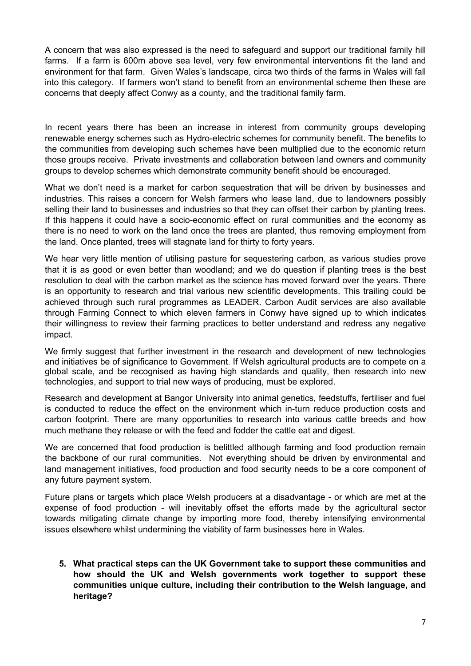A concern that was also expressed is the need to safeguard and support our traditional family hill farms. If a farm is 600m above sea level, very few environmental interventions fit the land and environment for that farm. Given Wales's landscape, circa two thirds of the farms in Wales will fall into this category. If farmers won't stand to benefit from an environmental scheme then these are concerns that deeply affect Conwy as a county, and the traditional family farm.

In recent years there has been an increase in interest from community groups developing renewable energy schemes such as Hydro-electric schemes for community benefit. The benefits to the communities from developing such schemes have been multiplied due to the economic return those groups receive. Private investments and collaboration between land owners and community groups to develop schemes which demonstrate community benefit should be encouraged.

What we don't need is a market for carbon sequestration that will be driven by businesses and industries. This raises a concern for Welsh farmers who lease land, due to landowners possibly selling their land to businesses and industries so that they can offset their carbon by planting trees. If this happens it could have a socio-economic effect on rural communities and the economy as there is no need to work on the land once the trees are planted, thus removing employment from the land. Once planted, trees will stagnate land for thirty to forty years.

We hear very little mention of utilising pasture for sequestering carbon, as various studies prove that it is as good or even better than woodland; and we do question if planting trees is the best resolution to deal with the carbon market as the science has moved forward over the years. There is an opportunity to research and trial various new scientific developments. This trailing could be achieved through such rural programmes as LEADER. Carbon Audit services are also available through Farming Connect to which eleven farmers in Conwy have signed up to which indicates their willingness to review their farming practices to better understand and redress any negative impact.

We firmly suggest that further investment in the research and development of new technologies and initiatives be of significance to Government. If Welsh agricultural products are to compete on a global scale, and be recognised as having high standards and quality, then research into new technologies, and support to trial new ways of producing, must be explored.

Research and development at Bangor University into animal genetics, feedstuffs, fertiliser and fuel is conducted to reduce the effect on the environment which in-turn reduce production costs and carbon footprint. There are many opportunities to research into various cattle breeds and how much methane they release or with the feed and fodder the cattle eat and digest.

We are concerned that food production is belittled although farming and food production remain the backbone of our rural communities. Not everything should be driven by environmental and land management initiatives, food production and food security needs to be a core component of any future payment system.

Future plans or targets which place Welsh producers at a disadvantage - or which are met at the expense of food production - will inevitably offset the efforts made by the agricultural sector towards mitigating climate change by importing more food, thereby intensifying environmental issues elsewhere whilst undermining the viability of farm businesses here in Wales.

**5. What practical steps can the UK Government take to support these communities and how should the UK and Welsh governments work together to support these communities unique culture, including their contribution to the Welsh language, and heritage?**